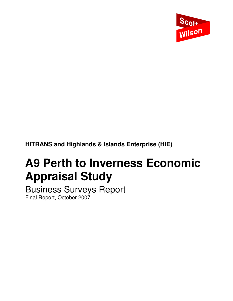

**HITRANS and Highlands & Islands Enterprise (HIE)** 

# **A9 Perth to Inverness Economic Appraisal Study**

Business Surveys Report Final Report, October 2007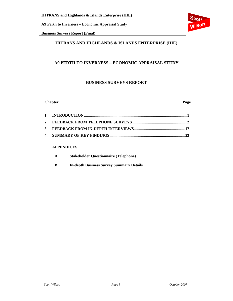**Business Surveys Report (Final)** 

## **HITRANS AND HIGHLANDS & ISLANDS ENTERPRISE (HIE)**

### **A9 PERTH TO INVERNESS – ECONOMIC APPRAISAL STUDY**

#### **BUSINESS SURVEYS REPORT**

#### **Chapter Page**

#### **APPENDICES**

| A | <b>Stakeholder Questionnaire (Telephone)</b> |
|---|----------------------------------------------|
|---|----------------------------------------------|

**B In-depth Business Survey Summary Details** 

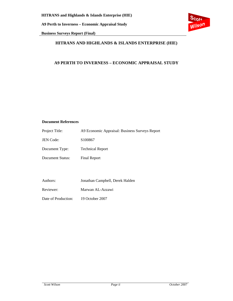**Business Surveys Report (Final)** 



### **HITRANS AND HIGHLANDS & ISLANDS ENTERPRISE (HIE)**

### **A9 PERTH TO INVERNESS – ECONOMIC APPRAISAL STUDY**

#### **Document References**

| Project Title:   | A9 Economic Appraisal: Business Surveys Report |
|------------------|------------------------------------------------|
| <b>JEN Code:</b> | S <sub>100867</sub>                            |
| Document Type:   | <b>Technical Report</b>                        |
| Document Status: | Final Report                                   |
|                  |                                                |
|                  |                                                |

Authors: Jonathan Campbell, Derek Halden

Reviewer: Marwan AL-Azzawi

Date of Production: 19 October 2007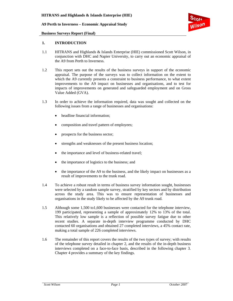

#### **Business Surveys Report (Final)**

#### **1. INTRODUCTION**

- 1.1 HITRANS and Highlands & Islands Enterprise (HIE) commissioned Scott Wilson, in conjunction with DHC and Napier University, to carry out an economic appraisal of the A9 from Perth to Inverness.
- 1.2 This report sets out the results of the business surveys in support of the economic appraisal. The purpose of the surveys was to collect information on the extent to which the A9 currently presents a constraint to business performance, to what extent improvements to the A9 impact on businesses and organisations, and to test for impacts of improvements on generated and safeguarded employment and on Gross Value Added (GVA).
- 1.3 In order to achieve the information required, data was sought and collected on the following issues from a range of businesses and organisations:
	- headline financial information:
	- composition and travel pattern of employees;
	- prospects for the business sector;
	- strengths and weaknesses of the present business location;
	- the importance and level of business-related travel;
	- the importance of logistics to the business; and
	- the importance of the A9 to the business, and the likely impact on businesses as a result of improvements to the trunk road.
- 1.4 To achieve a robust result in terms of business survey information sought, businesses were selected by a random sample survey, stratified by key sectors and by distribution across the study area. This was to ensure representation of businesses and organisations in the study likely to be affected by the A9 trunk road.
- 1.5 Although some 1,500 to1,600 businesses were contacted for the telephone interview, 199 participated, representing a sample of approximately 12% to 13% of the total. This relatively low sample is a reflection of possible survey fatigue due to other recent studies. A separate in-depth interview programme conducted by DHC contacted 60 organisations and obtained 27 completed interviews, a 45% contact rate, making a total sample of 226 completed interviews.
- 1.6 The remainder of this report covers the results of the two types of survey; with results of the telephone survey detailed in chapter 2, and the results of the in-depth business interviews completed on a face-to-face basis, described in the following chapter 3. Chapter 4 provides a summary of the key findings.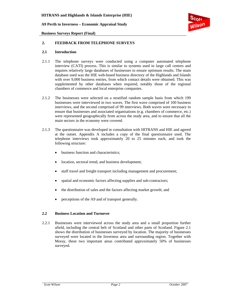

**Business Surveys Report (Final)** 

#### **2. FEEDBACK FROM TELEPHONE SURVEYS**

#### **2.1 Introduction**

- 2.1.1 The telephone surveys were conducted using a computer automated telephone interview (CATI) process. This is similar to systems used in large call centres and requires relatively large databases of businesses to ensure optimum results. The main database used was the HIE web-based business directory of the Highlands and Islands with over 9,000 business entries, from which contact details were obtained. This was supplemented by other databases when required, notably those of the regional chambers of commerce and local enterprise companies.
- 2.1.2 The businesses were selected on a stratified random sample basis from which 199 businesses were interviewed in two waves. The first wave comprised of 100 business interviews, and the second comprised of 99 interviews. Both waves were necessary to ensure that businesses and associated organisations (e.g. chambers of commerce, etc.) were represented geographically from across the study area, and to ensure that all the main sectors in the economy were covered.
- 2.1.3 The questionnaire was developed in consultation with HITRANS and HIE and agreed at the outset. Appendix A includes a copy of the final questionnaire used. The telephone interviews took approximately 20 to 25 minutes each, and took the following structure:
	- business function and characteristics;
	- location, sectoral trend, and business development;
	- staff travel and freight transport including management and procurement;
	- spatial and economic factors affecting supplies and sub-contractors;
	- the distribution of sales and the factors affecting market growth; and
	- perceptions of the A9 and of transport generally.

#### **2.2 Business Location and Turnover**

2.2.1 Businesses were interviewed across the study area and a small proportion further afield, including the central belt of Scotland and other parts of Scotland. Figure 2.1 shows the distribution of businesses surveyed by location. The majority of businesses surveyed were located in the Inverness area and surrounding region. Together with Moray, these two important areas contributed approximately 50% of businesses surveyed.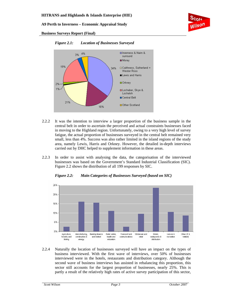

#### **Business Surveys Report (Final)**

21%



16%

*Figure 2.1: Location of Businesses Surveyed* 

2.2.2 It was the intention to interview a larger proportion of the business sample in the central belt in order to ascertain the perceived and actual constraints businesses faced in moving to the Highland region. Unfortunately, owing to a very high level of survey fatigue, the actual proportion of businesses surveyed in the central belt remained very small, less than 4%. Success was also rather limited in the island regions of the study area, namely Lewis, Harris and Orkney. However, the detailed in-depth interviews carried out by DHC helped to supplement information in these areas.

□ Central Belt

□ Other Scotland

2.2.3 In order to assist with analysing the data, the categorisation of the interviewed businesses was based on the Government's Standard Industrial Classification (SIC). Figure 2.2 shows the distribution of all 199 responses by SIC.



*Figure 2.2: Main Categories of Businesses Surveyed (based on SIC)* 

2.2.4 Naturally the location of businesses surveyed will have an impact on the types of business interviewed. With the first wave of interviews, over 50% of businesses interviewed were in the hotels, restaurants and distribution category. Although the second wave of business interviews has assisted in rebalancing this proportion, this sector still accounts for the largest proportion of businesses, nearly 25%. This is partly a result of the relatively high rates of active survey participation of this sector,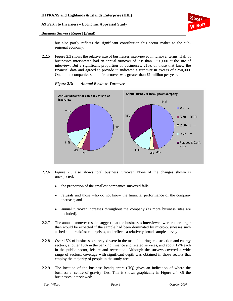#### **Business Surveys Report (Final)**

but also partly reflects the significant contribution this sector makes to the subregional economy.

2.2.5 Figure 2.3 shows the relative size of businesses interviewed in turnover terms. Half of businesses interviewed had an annual turnover of less than £250,000 at the site of interview. But a significant proportion of businesses, 21%, of those that knew the financial data and agreed to provide it, indicated a turnover in excess of £250,000. One in ten companies said their turnover was greater than £1 million per year.



*Figure 2.3: Annual Business Turnover* 

- 2.2.6 Figure 2.3 also shows total business turnover. None of the changes shown is unexpected:
	- the proportion of the smallest companies surveyed falls;
	- refusals and those who do not know the financial performance of the company increase; and
	- annual turnover increases throughout the company (as more business sites are included).
- 2.2.7 The annual turnover results suggest that the businesses interviewed were rather larger than would be expected if the sample had been dominated by micro-businesses such as bed and breakfast enterprises, and reflects a relatively broad sample survey.
- 2.2.8 Over 15% of businesses surveyed were in the manufacturing, construction and energy sectors, another 15% in the banking, finance and related services, and about 12% each in the public sector, leisure and recreation. Although the surveys covered a wide range of sectors, coverage with significant depth was obtained in those sectors that employ the majority of people in the study area.
- 2.2.9 The location of the business headquarters (HQ) gives an indication of where the business's 'centre of gravity' lies. This is shown graphically in Figure 2.4. Of the businesses interviewed: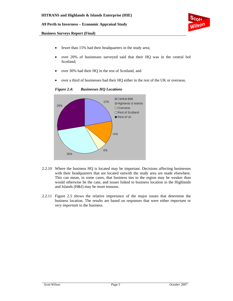

#### **Business Surveys Report (Final)**

- fewer than 15% had their headquarters in the study area;
- over 20% of businesses surveyed said that their HQ was in the central bof Scotland;
- over 30% had their HQ in the rest of Scotland, and
- over a third of businesses had their HQ either in the rest of the UK or overseas.

*Figure 2.4: Businesses HQ Locations* 



- 2.2.10 Where the business HQ is located may be important. Decisions affecting businesses with their headquarters that are located outwith the study area are made elsewhere. This can mean, in some cases, that business ties to the region may be weaker than would otherwise be the case, and issues linked to business location in the Highlands and Islands (H&I) may be more tenuous.
- 2.2.11 Figure 2.5 shows the relative importance of the major issues that determine the business location. The results are based on responses that were either *important* or *very important* to the business.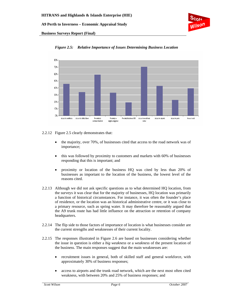

**Business Surveys Report (Final)** 



*Figure 2.5: Relative Importance of Issues Determining Business Location* 

2.2.12 Figure 2.5 clearly demonstrates that:

- the majority, over 70%, of businesses cited that access to the road network was of importance;
- this was followed by proximity to customers and markets with 60% of businesses responding that this is important; and
- proximity or location of the business HQ was cited by less than 20% of businesses as important to the location of the business, the lowest level of the reasons cited.
- 2.2.13 Although we did not ask specific questions as to what determined HQ location, from the surveys it was clear that for the majority of businesses, HQ location was primarily a function of historical circumstances. For instance, it was often the founder's place of residence, or the location was an historical administrative centre, or it was close to a primary resource, such as spring water. It may therefore be reasonably argued that the A9 trunk route has had little influence on the attraction or retention of company headquarters.
- 2.2.14 The flip side to those factors of importance of location is what businesses consider are the current strengths and weaknesses of their current locality.
- 2.2.15 The responses illustrated in Figure 2.6 are based on businesses considering whether the issue in question is either a *big weakness* or a *weakness* of the present location of the business. The main responses suggest that the main weaknesses are:
	- recruitment issues in general, both of skilled staff and general workforce, with approximately 30% of business responses;
	- access to airports and the trunk road network, which are the next most often cited weakness, with between 20% and 25% of business responses; and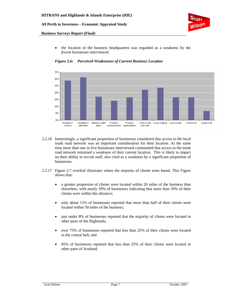

#### **Business Surveys Report (Final)**

• the location of the business headquarters was regarded as a weakness by the *fewest* businesses interviewed.



*Figure 2.6: Perceived Weaknesses of Current Business Location* 

- 2.2.16 Interestingly, a significant proportion of businesses considered that access to the local trunk road network was an important consideration for their location. At the same time more than one in five businesses interviewed commented that access to the trunk road network remained a weakness of their current location. This is likely to impact on their ability to recruit staff, also cited as a weakness by a significant proportion of businesses.
- 2.2.17 Figure 2.7 overleaf illustrates where the majority of clients were based. This Figure shows that:
	- a greater proportion of clients were located within 20 miles of the business than elsewhere, with nearly 29% of businesses indicating that more than 50% of their clients were within this distance;
	- only about 11% of businesses reported that more than half of their clients were located within 50 miles of the business;
	- just under 8% of businesses reported that the majority of clients were located in other parts of the Highlands;
	- over 75% of businesses reported that less than 25% of their clients were located in the central belt; and
	- 85% of businesses reported that less than 25% of their clients were located in other parts of Scotland.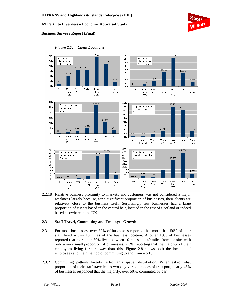

#### **Business Surveys Report (Final)**



*Figure 2.7: Client Locations* 

2.2.18 Relative business proximity to markets and customers was not considered a major weakness largely because, for a significant proportion of businesses, their clients are relatively close to the business itself. Surprisingly few businesses had a large proportion of clients based in the central belt, located in the rest of Scotland or indeed based elsewhere in the UK.

#### **2.3 Staff Travel, Commuting and Employee Growth**

- 2.3.1 For most businesses, over 80% of businesses reported that more than 50% of their staff lived within 10 miles of the business location. Another 10% of businesses reported that more than 50% lived between 10 miles and 40 miles from the site, with only a very small proportion of businesses, 2.5%, reporting that the majority of their employees living further away than this. Figure 2.8 shows both the location of employees and their method of commuting to and from work.
- 2.3.2 Commuting patterns largely reflect this spatial distribution. When asked what proportion of their staff travelled to work by various modes of transport, nearly 46% of businesses responded that the majority, over 50%, commuted by car.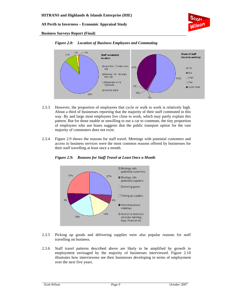

#### **Business Surveys Report (Final)**



*Figure 2.8: Location of Business Employees and Commuting* 

- 2.3.3 However, the proportion of employees that cycle or walk to work is relatively high. About a third of businesses reporting that the majority of their staff commuted in this way. By and large most employees live close to work, which may partly explain this pattern. But for those unable or unwilling to use a car to commute, the tiny proportion of employees who use buses suggests that the public transport option for the vast majority of commuters does not exist.
- 2.3.4 Figure 2.9 shows the reasons for staff travel. Meetings with potential customers and access to business services were the most common reasons offered by businesses for their staff travelling at least once a month.



*Figure 2.9: Reasons for Staff Travel at Least Once a Month* 

- 2.3.5 Picking up goods and delivering supplies were also popular reasons for staff travelling on business.
- 2.3.6 Staff travel patterns described above are likely to be amplified by growth in employment envisaged by the majority of businesses interviewed. Figure 2.10 illustrates how interviewees see their businesses developing in terms of employment over the next five years.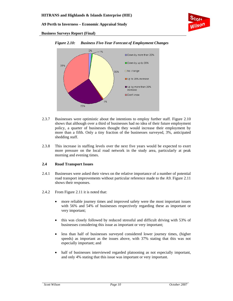

**Business Surveys Report (Final)** 



#### *Figure 2.10: Business Five-Year Forecast of Employment Changes*

- 2.3.7 Businesses were optimistic about the intentions to employ further staff. Figure 2.10 shows that although over a third of businesses had no idea of their future employment policy, a quarter of businesses thought they would increase their employment by more than a fifth. Only a tiny fraction of the businesses surveyed, 3%, anticipated shedding staff.
- 2.3.8 This increase in staffing levels over the next five years would be expected to exert more pressure on the local road network in the study area, particularly at peak morning and evening times.

#### **2.4 Road Transport Issues**

- 2.4.1 Businesses were asked their views on the relative importance of a number of potential road transport improvements without particular reference made to the A9. Figure 2.11 shows their responses.
- 2.4.2 From Figure 2.11 it is noted that:
	- more reliable journey times and improved safety were the most important issues with 56% and 54% of businesses respectively regarding these as important or very important;
	- this was closely followed by reduced stressful and difficult driving with 53% of businesses considering this issue as important or very important;
	- less than half of businesses surveyed considered lower journey times, (higher speeds) as important as the issues above, with 37% stating that this was not especially important; and
	- half of businesses interviewed regarded platooning as not especially important, and only 4% stating that this issue was important or very important.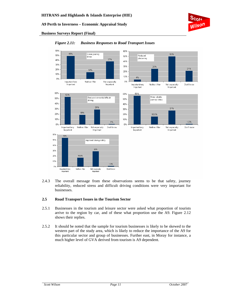

#### **Business Surveys Report (Final)**



#### *Figure 2.11: Business Responses to Road Transport Issues*

2.4.3 The overall message from these observations seems to be that safety, journey reliability, reduced stress and difficult driving conditions were very important for businesses.

#### **2.5 Road Transport Issues in the Tourism Sector**

- 2.5.1 Businesses in the tourism and leisure sector were asked what proportion of tourists arrive to the region by car, and of these what proportion use the A9. Figure 2.12 shows their replies.
- 2.5.2 It should be noted that the sample for tourism businesses is likely to be skewed to the western part of the study area, which is likely to reduce the importance of the A9 for this particular sector and group of businesses. Further east, in Moray for instance, a much higher level of GVA derived from tourism is A9 dependent.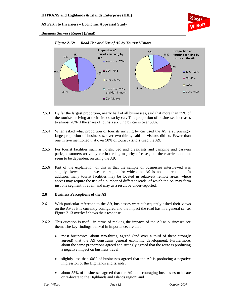

**Business Surveys Report (Final)** 



#### *Figure 2.12: Road Use and Use of A9 by Tourist Visitors*

- 2.5.3 By far the largest proportion, nearly half of all businesses, said that more than 75% of the tourists arriving at their site do so by car. This proportion of businesses increases to almost 70% if the share of tourists arriving by car is over 50%.
- 2.5.4 When asked what proportion of tourists arriving by car used the A9, a surprisingly large proportion of businesses, over two-thirds, said no visitors did so. Fewer than one in five mentioned that over 50% of tourist visitors used the A9.
- 2.5.5 For tourist facilities such as hotels, bed and breakfasts and camping and caravan parks, customers arrive by car in the big majority of cases, but these arrivals do not seem to be dependent on using the A9.
- 2.5.6 Part of the explanation of this is that the sample of businesses interviewed was slightly skewed to the western region for which the A9 is not a direct link. In addition, many tourist facilities may be located in relatively remote areas, where access may require the use of a number of different roads, of which the A9 may form just one segment, if at all, and may as a result be under-reported.

#### **2.6 Business Perceptions of the A9**

- 2.6.1 With particular reference to the A9, businesses were subsequently asked their views on the A9 as it is currently configured and the impact the road has in a general sense. Figure 2.13 overleaf shows their response.
- 2.6.2 This question is useful in terms of ranking the impacts of the A9 as businesses see them. The key findings, ranked in importance, are that:
	- most businesses, about two-thirds, agreed (and over a third of these strongly agreed) that the A9 constrains general economic development. Furthermore, about the same proportions agreed and strongly agreed that the route is producing a negative impact on business travel;
	- slightly less than 60% of businesses agreed that the A9 is producing a negative impression of the Highlands and Islands;
	- about 55% of businesses agreed that the A9 is discouraging businesses to locate or re-locate to the Highlands and Islands region; and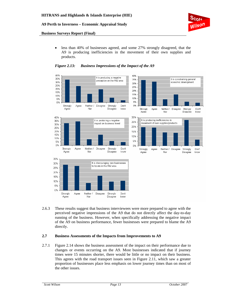

#### **Business Surveys Report (Final)**

• less than 40% of businesses agreed, and some 27% strongly disagreed, that the A9 is producing inefficiencies in the movement of their own supplies and products.



#### *Figure 2.13: Business Impressions of the Impact of the A9*

2.6.3 These results suggest that business interviewees were more prepared to agree with the perceived negative impressions of the A9 that do not directly affect the day-to-day running of the business. However, when specifically addressing the negative impact of the A9 on business performance, fewer businesses were prepared to blame the A9 directly.

#### **2.7 Business Assessments of the Impacts from Improvements to A9**

2.7.1 Figure 2.14 shows the business assessment of the impact on their performance due to changes or events occurring on the A9. Most businesses indicated that if journey times were 15 minutes shorter, there would be little or no impact on their business. This agrees with the road transport issues seen in Figure 2.11, which saw a greater proportion of businesses place less emphasis on lower journey times than on most of the other issues.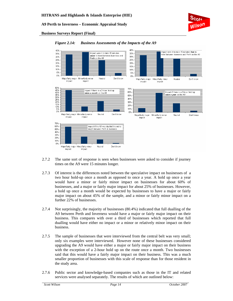

#### **Business Surveys Report (Final)**



#### *Figure 2.14: Business Assessments of the Impacts of the A9*

- 2.7.2 The same sort of response is seen when businesses were asked to consider if journey times on the A9 were 15 minutes longer.
- 2.7.3 Of interest is the differences noted between the speculative impact on businesses of a two hour hold-up once a month as opposed to once a year. A hold up once a year would have a minor or fairly minor impact on businesses for about 60% of businesses, and a major or fairly major impact for about 25% of businesses. However, a hold up once a month would be expected by businesses to have a major or fairly major impact on about 45% of the sample, and a minor or fairly minor impact on a further 22% of businesses.
- 2.7.4 Not surprisingly, the majority of businesses (80.4%) indicated that full dualling of the A9 between Perth and Inverness would have a major or fairly major impact on their business. This compares with over a third of businesses which reported that full dualling would have either no impact or a minor or relatively minor impact on their business.
- 2.7.5 The sample of businesses that were interviewed from the central belt was very small; only six examples were interviewed. However none of these businesses considered upgrading the A9 would have either a major or fairly major impact on their business with the exception of a 2-hour hold up on the route once a month. Two businesses said that this would have a fairly major impact on their business. This was a much smaller proportion of businesses with this scale of response than for those resident in the study area.
- 2.7.6 Public sector and knowledge-based companies such as those in the IT and related services were analysed separately. The results of which are outlined below: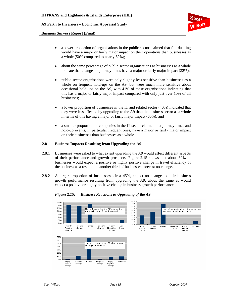#### **Business Surveys Report (Final)**

- a lower proportion of organisations in the public sector claimed that full dualling would have a major or fairly major impact on their operations than businesses as a whole (50% compared to nearly 60%);
- about the same percentage of public sector organisations as businesses as a whole indicate that changes to journey times have a major or fairly major impact (32%);
- public sector organisations were only slightly less sensitive than businesses as a whole on frequent hold-ups on the A9, but were much more sensitive about occasional hold-ups on the A9, with 41% of these organisations indicating that this has a major or fairly major impact compared with only just over 10% of all businesses;
- a lower proportion of businesses in the IT and related sector (40%) indicated that they were less affected by upgrading to the A9 than the business sector as a whole in terms of this having a major or fairly major impact (60%); and
- a smaller proportion of companies in the IT sector claimed that journey times and hold-up events, in particular frequent ones, have a major or fairly major impact on their businesses than businesses as a whole.

#### **2.8 Business Impacts Resulting from Upgrading the A9**

- 2.8.1 Businesses were asked to what extent upgrading the A9 would affect different aspects of their performance and growth prospects. Figure 2.15 shows that about 60% of businesses would expect a positive or highly positive change in travel efficiency of the business as a result, and another third of businesses forecast no change.
- 2.8.2 A larger proportion of businesses, circa 45%, expect no change to their business growth performance resulting from upgrading the A9, about the same as would expect a positive or highly positive change in business growth performance.

50%<br>45%<br>40% 35% 30% 25%  $35%$ will upgrading the A9 change the How will upgrading the A9 change your How 30%<br>25%<br>20%<br>15%<br>10%<br>5% 20% travel efficiency of your business business growth performance? 15% 10% 5% 0% n% Highly Positive Neutral Negative Highly Don't Neutral Negative Don't know Highly<br>Positive Positive Highly Positiv change change Negative know change Negative<br>change change change change 70% 60% How will upgrading the A9 change γour 50% emplovee numbers? anss 30% 20% 10% n% Highly<br>Positive<br>change Positive<br>change Highly<br>Negative<br>change Neutral Negative<br>change Don't knov

*Figure 2.15: Business Reactions to Upgrading of the A9*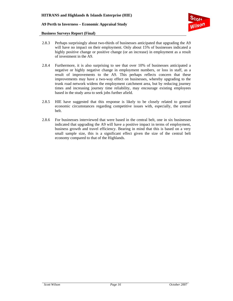

#### **Business Surveys Report (Final)**

- 2.8.3 Perhaps surprisingly about two-thirds of businesses anticipated that upgrading the A9 will have no impact on their employment. Only about 15% of businesses indicated a highly positive change or positive change (or an increase) in employment as a result of investment in the A9.
- 2.8.4 Furthermore, it is also surprising to see that over 10% of businesses anticipated a negative or highly negative change in employment numbers, or loss in staff, as a result of improvements to the A9. This perhaps reflects concern that these improvements may have a two-way effect on businesses, whereby upgrading to the trunk road network widens the employment catchment area, but by reducing journey times and increasing journey time reliability, may encourage existing employees based in the study area to seek jobs further afield.
- 2.8.5 HIE have suggested that this response is likely to be closely related to general economic circumstances regarding competitive issues with, especially, the central belt.
- 2.8.6 For businesses interviewed that were based in the central belt, one in six businesses indicated that upgrading the A9 will have a positive impact in terms of employment, business growth and travel efficiency. Bearing in mind that this is based on a very small sample size, this is a significant effect given the size of the central belt economy compared to that of the Highlands.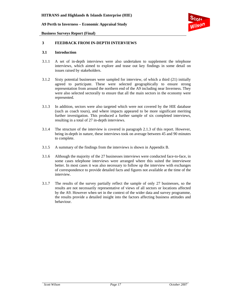

**Business Surveys Report (Final)** 

#### **3 FEEDBACK FROM IN-DEPTH INTERVIEWS**

#### **3.1 Introduction**

- 3.1.1 A set of in-depth interviews were also undertaken to supplement the telephone interviews, which aimed to explore and tease out key findings in some detail on issues raised by stakeholders.
- 3.1.2 Sixty potential businesses were sampled for interview, of which a third (21) initially agreed to participate. These were selected geographically to ensure strong representation from around the northern end of the A9 including near Inverness. They were also selected sectorally to ensure that all the main sectors in the economy were represented.
- 3.1.3 In addition, sectors were also targeted which were not covered by the HIE database (such as coach tours), and where impacts appeared to be more significant meriting further investigation. This produced a further sample of six completed interviews, resulting in a total of 27 in-depth interviews.
- 3.1.4 The structure of the interview is covered in paragraph 2.1.3 of this report. However, being in-depth in nature, these interviews took on average between 45 and 90 minutes to complete.
- 3.1.5 A summary of the findings from the interviews is shown in Appendix B.
- 3.1.6 Although the majority of the 27 businesses interviews were conducted face-to-face, in some cases telephone interviews were arranged where this suited the interviewee better. In most cases it was also necessary to follow up the interview with exchanges of correspondence to provide detailed facts and figures not available at the time of the interview.
- 3.1.7 The results of the survey partially reflect the sample of only 27 businesses, so the results are not necessarily representative of views of all sectors or locations affected by the A9. However when set in the context of the wider data and survey programme, the results provide a detailed insight into the factors affecting business attitudes and behaviour.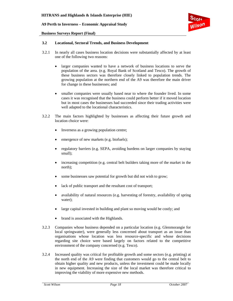#### **Business Surveys Report (Final)**



#### **3.2 Locational, Sectoral Trends, and Business Development**

- 3.2.1 In nearly all cases business location decisions were substantially affected by at least one of the following two reasons:
	- larger companies wanted to have a network of business locations to serve the population of the area. (e.g. Royal Bank of Scotland and Tesco). The growth of these business sectors was therefore closely linked to population trends. The growing population at the northern end of the A9 was therefore the main driver for change in these businesses; and
	- smaller companies were usually based near to where the founder lived. In some cases it was recognised that the business could perform better if it moved location but in most cases the businesses had succeeded since their trading activities were well adapted to the locational characteristics.
- 3.2.2 The main factors highlighted by businesses as affecting their future growth and location choice were:
	- Inverness as a growing population centre;
	- emergence of new markets (e.g. biofuels);
	- regulatory barriers (e.g. SEPA, avoiding burdens on larger companies by staying small);
	- increasing competition (e.g. central belt builders taking more of the market in the north);
	- some businesses saw potential for growth but did not wish to grow;
	- lack of public transport and the resultant cost of transport;
	- availability of natural resources (e.g. harvesting of forestry, availability of spring water);
	- large capital invested in building and plant so moving would be costly; and
	- brand is associated with the Highlands.
- 3.2.3 Companies whose business depended on a particular location (e.g. Glenmorangie for local springwater), were generally less concerned about transport as an issue than organisations whose location was less resource-specific and whose decisions regarding site choice were based largely on factors related to the competitive environment of the company concerned (e.g. Tesco).
- 3.2.4 Increased quality was critical for profitable growth and some sectors (e.g. printing) at the north end of the A9 were finding that customers would go to the central belt to obtain higher quality and new products, unless the investment could be made locally in new equipment. Increasing the size of the local market was therefore critical to improving the viability of more expensive new methods.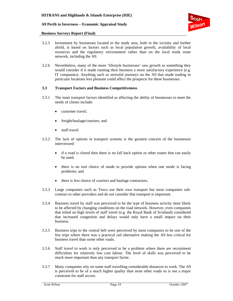

#### **Business Surveys Report (Final)**

- 3.2.5 Investment by businesses located in the study area, both in the vicinity and further afield, is based on factors such as local population growth, availability of local resources and the regulatory environment rather than on the local trunk route network, including the A9.
- 3.2.6 Nevertheless, many of the more 'lifestyle businesses' saw growth as something they would consider if it made running their business a more satisfactory experience (e.g. IT companies). Anything such as stressful journeys on the A9 that made trading in particular locations less pleasant could affect the prospects for these businesses.

#### **3.3 Transport Factors and Business Competitiveness**

- 3.3.1 The main transport factors identified as affecting the ability of businesses to meet the needs of clients include:
	- customer travel;
	- freight/haulage/couriers; and
	- staff travel.
- 3.3.2 The lack of options in transport systems is the greatest concern of the businesses interviewed:
	- if a road is closed then there is no fall back option or other routes that can easily be used;
	- there is no real choice of mode to provide options when one mode is facing problems; and
	- there is less choice of couriers and haulage contractors.
- 3.3.3 Large companies such as Tesco use their own transport but most companies subcontract to other providers and do not consider that transport is important.
- 3.3.4 Business travel by staff was perceived to be the type of business activity most likely to be affected by changing conditions on the road network. However, even companies that relied on high levels of staff travel (e.g. the Royal Bank of Scotland) considered that increased congestion and delays would only have a small impact on their business.
- 3.3.5 Business trips to the central belt were perceived by most companies to be one of the few trips where there was a practical rail alternative making the A9 less critical for business travel than some other roads.
- 3.3.6 Staff travel to work is only perceived to be a problem where there are recruitment difficulties for relatively low cost labour. The level of skills was perceived to be much more important than any transport factor.
- 3.3.7 Many companies rely on some staff travelling considerable distances to work. The A9 is perceived to be of a much higher quality than most other roads so is not a major constraint for staff access.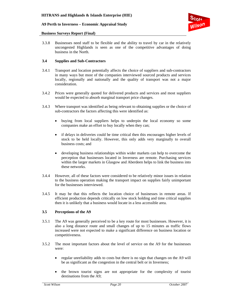

#### **Business Surveys Report (Final)**

3.3.8 Businesses need staff to be flexible and the ability to travel by car in the relatively uncongested Highlands is seen as one of the competitive advantages of doing business in the North.

#### **3.4 Supplies and Sub-Contractors**

- 3.4.1 Transport and location potentially affects the choice of suppliers and sub-contractors in many ways but most of the companies interviewed sourced products and services locally, regionally and nationally and the quality of transport was not a major consideration.
- 3.4.2 Prices were generally quoted for delivered products and services and most suppliers would be expected to absorb marginal transport price changes.
- 3.4.3 Where transport was identified as being relevant to obtaining supplies or the choice of sub-contractors the factors affecting this were identified as:
	- buying from local suppliers helps to underpin the local economy so some companies make an effort to buy locally when they can;
	- if delays in deliveries could be time critical then this encourages higher levels of stock to be held locally. However, this only adds very marginally to overall business costs; and
	- developing business relationships within wider markets can help to overcome the perception that businesses located in Inverness are remote. Purchasing services within the larger markets in Glasgow and Aberdeen helps to link the business into these networks.
- 3.4.4 However, all of these factors were considered to be relatively minor issues in relation to the business operation making the transport impact on supplies fairly unimportant for the businesses interviewed.
- 3.4.5 It may be that this reflects the location choice of businesses in remote areas. If efficient production depends critically on low stock holding and time critical supplies then it is unlikely that a business would locate in a less accessible area.

#### **3.5 Perceptions of the A9**

- 3.5.1 The A9 was generally perceived to be a key route for most businesses. However, it is also a long distance route and small changes of up to 15 minutes as traffic flows increased were not expected to make a significant difference on business location or competitiveness.
- 3.5.2 The most important factors about the level of service on the A9 for the businesses were:
	- regular unreliability adds to costs but there is no sign that changes on the A9 will be as significant as the congestion in the central belt or in Inverness;
	- the brown tourist signs are not appropriate for the complexity of tourist destinations from the A9;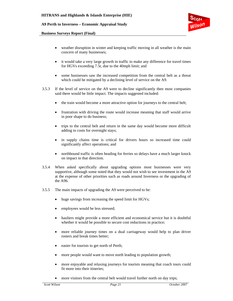

#### **Business Surveys Report (Final)**

- weather disruption in winter and keeping traffic moving in all weather is the main concern of many businesses;
- it would take a very large growth in traffic to make any difference for travel times for HGVs exceeding 7.5t, due to the 40mph limit; and
- some businesses saw the increased competition from the central belt as a threat which could be mitigated by a declining level of service on the A9.
- 3.5.3 If the level of service on the A9 were to decline significantly then most companies said there would be little impact. The impacts suggested included:
	- the train would become a more attractive option for journeys to the central belt;
	- frustration with driving the route would increase meaning that staff would arrive in poor shape to do business;
	- trips to the central belt and return in the same day would become more difficult adding to costs for overnight stays;
	- in supply chains time is critical for drivers hours so increased time could significantly affect operations; and
	- northbound traffic is often heading for ferries so delays have a much larger knock on impact in that direction.
- 3.5.4 When asked specifically about upgrading options most businesses were very supportive, although some noted that they would not wish to see investment in the A9 at the expense of other priorities such as roads around Inverness or the upgrading of the A96.
- 3.5.5 The main impacts of upgrading the A9 were perceived to be:
	- huge savings from increasing the speed limit for HGVs;
	- employees would be less stressed;
	- hauliers might provide a more efficient and economical service but it is doubtful whether it would be possible to secure cost reductions in practice;
	- more reliable journey times on a dual carriageway would help to plan driver rosters and break times better;
	- easier for tourists to get north of Perth;
	- more people would want to move north leading to population growth;
	- more enjoyable and relaxing journeys for tourists meaning that coach tours could fit more into their itineries;
	- more visitors from the central belt would travel further north on day trips;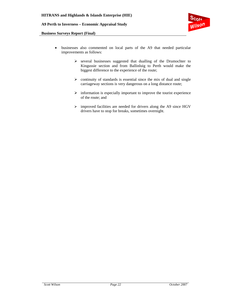

#### **Business Surveys Report (Final)**

- businesses also commented on local parts of the A9 that needed particular improvements as follows:
	- ¾ several businesses suggested that dualling of the Drumochter to Kingussie section and from Ballinluig to Perth would make the biggest difference to the experience of the route;
	- $\triangleright$  continuity of standards is essential since the mix of dual and single carriageway sections is very dangerous on a long distance route;
	- $\triangleright$  information is especially important to improve the tourist experience of the route; and
	- ¾ improved facilities are needed for drivers along the A9 since HGV drivers have to stop for breaks, sometimes overnight.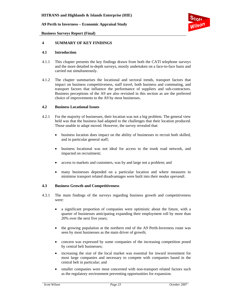

**Business Surveys Report (Final)** 

#### **4 SUMMARY OF KEY FINDINGS**

#### **4.1 Introduction**

- 4.1.1 This chapter presents the key findings drawn from both the CATI telephone surveys and the more detailed in-depth surveys, mostly undertaken on a face-to-face basis and carried out simultaneously.
- 4.1.2 The chapter summarises the locational and sectoral trends, transport factors that impact on business competitiveness, staff travel, both business and commuting, and transport factors that influence the performance of suppliers and sub-contractors. Business perceptions of the A9 are also revisited in this section as are the preferred choice of improvements to the A9 by most businesses.

#### **4.2 Business Locational Issues**

- 4.2.1 For the majority of businesses, their location was not a big problem. The general view held was that the business had adapted to the challenges that their location produced. Those unable to adapt moved. However, the survey revealed that:
	- business location does impact on the ability of businesses to recruit both skilled, and in particular general staff;
	- business locational was not ideal for access to the trunk road network, and impacted on recruitment;
	- access to markets and customers, was by and large not a problem; and
	- many businesses depended on a particular location and where measures to minimise transport related disadvantages were built into their *modus operandi*.

#### **4.3 Business Growth and Competitiveness**

- 4.3.1 The main findings of the surveys regarding business growth and competitiveness were:
	- a significant proportion of companies were optimistic about the future, with a quarter of businesses anticipating expanding their employment roll by more than 20% over the next five years;
	- the growing population at the northern end of the A9 Perth-Inverness route was seen by most businesses as the main driver of growth;
	- concern was expressed by some companies of the increasing competition posed by central belt businesses;
	- increasing the size of the local market was essential for inward investment for most large companies and necessary to compete with companies based in the central belt in particular; and
	- smaller companies were most concerned with non-transport related factors such as the regulatory environment preventing opportunities for expansion.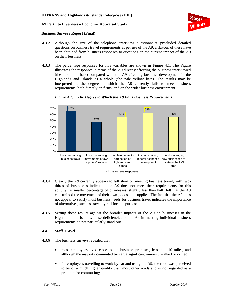

#### **Business Surveys Report (Final)**

- 4.3.2 Although the size of the telephone interview questionnaire precluded detailed questions on business travel requirements as per use of the A9, a flavour of these have been obtained from business responses to questions on the current impact of the A9 on their business.
- 4.3.3 The percentage responses for five variables are shown in Figure 4.1. The Figure illustrates the responses in terms of the A9 directly affecting the business interviewed (the dark blue bars) compared with the A9 affecting business development in the Highlands and Islands as a whole (the pale yellow bars). The results may be interpreted as the degree to which the A9 currently fails to meet business requirements, both directly on firms, and on the wider business environment.



*Figure 4.1: The Degree to Which the A9 Fails Business Requirements* 

- 4.3.4 Clearly the A9 currently appears to fall short on meeting business travel, with twothirds of businesses indicating the A9 does not meet their requirements for this activity. A smaller percentage of businesses, slightly less than half, felt that the A9 constrained the movement of their own goods and supplies. The fact that the A9 does not appear to satisfy most business needs for business travel indicates the importance of alternatives, such as travel by rail for this purpose.
- 4.3.5 Setting these results against the broader impacts of the A9 on businesses in the Highlands and Islands, these deficiencies of the A9 in meeting individual business requirements do not particularly stand out.

#### **4.4 Staff Travel**

- 4.3.6 The business surveys revealed that:
	- most employees lived close to the business premises, less than 10 miles, and although the majority commuted by car, a significant minority walked or cycled;
	- for employees travelling to work by car and using the A9, the road was perceived to be of a much higher quality than most other roads and is not regarded as a problem for commuting;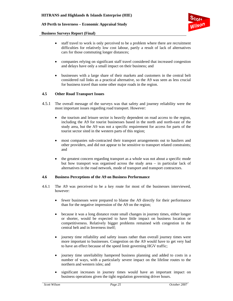

#### **Business Surveys Report (Final)**

- staff travel to work is only perceived to be a problem where there are recruitment difficulties for relatively low cost labour, partly a result of lack of alternatives cars for those commuting longer distances;
- companies relying on significant staff travel considered that increased congestion and delays have only a small impact on their business; and
- businesses with a large share of their markets and customers in the central belt considered rail links as a practical alternative, so the A9 was seen as less crucial for business travel than some other major roads in the region.

#### **4.5 Other Road Transport Issues**

- 4.5.1 The overall message of the surveys was that safety and journey reliability were the most important issues regarding road transport. However:
	- the tourism and leisure sector is heavily dependent on road access to the region, including the A9 for tourist businesses based in the north and north-east of the study area, but the A9 was not a specific requirement for access for parts of the tourist sector sited in the western parts of this region;
	- most companies sub-contracted their transport arrangements out to hauliers and other providers, and did not appear to be sensitive to transport related constraints; and
	- the greatest concern regarding transport as a whole was not about a specific mode but how transport was organised across the study area – in particular lack of alternatives in the road network, mode of transport and transport contractors.

#### **4.6 Business Perceptions of the A9 on Business Performance**

- 4.6.1 The A9 was perceived to be a key route for most of the businesses interviewed, however:
	- fewer businesses were prepared to blame the A9 directly for their performance than for the negative impression of the A9 on the region;
	- because it was a long distance route small changes in journey times, either longer or shorter, would be expected to have little impact on business location or competitiveness. Relatively bigger problems remained with congestion in the central belt and in Inverness itself;
	- journey time reliability and safety issues rather than overall journey times were more important to businesses. Congestion on the A9 would have to get very bad to have an effect because of the speed limit governing HGV traffic;
	- journey time unreliability hampered business planning and added to costs in a number of ways, with a particularly severe impact on the lifeline routes to the northern and western isles; and
	- significant increases in journey times would have an important impact on business operations given the tight regulation governing driver hours.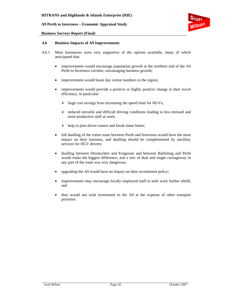

#### **Business Surveys Report (Final)**

#### **4.6 Business Impacts of A9 Improvements**

- 4.6.1 Most businesses were very supportive of the options available, many of which anticipated that:
	- improvements would encourage population growth at the northern end of the A9 Perth to Inverness corridor, encouraging business growth;
	- improvements would boost day visitor numbers to the region;
	- improvements would provide a positive or highly positive change in their travel efficiency, in particular:
		- $\triangleright$  large cost savings from increasing the speed limit for HGVs;
		- $\triangleright$  reduced stressful and difficult driving conditions leading to less stressed and more productive staff at work;
		- $\blacktriangleright$  help to plan driver rosters and break times better;
	- full dualling of the entire route between Perth and Inverness would have the most impact on their business, and dualling should be complemented by ancillary services for HGV drivers;
	- dualling between Drumochter and Kingussie and between Ballinluig and Perth would make the biggest difference, and a mix of dual and single carriageway in any part of the route was very dangerous;
	- upgrading the A9 would have no impact on their recruitment policy;
	- improvements may encourage locally employed staff to seek work further afield; and
	- they would not wish investment in the A9 at the expense of other transport priorities.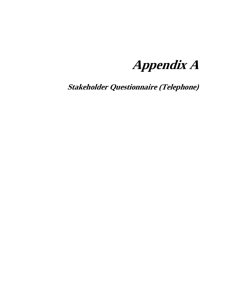**Appendix A** 

**Stakeholder Questionnaire (Telephone)**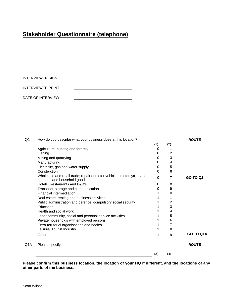# **Stakeholder Questionnaire (telephone)**

| INTERVIEWER SIGN  |  |
|-------------------|--|
| INTERVIEWER PRINT |  |
| DATE OF INTERVIEW |  |

| Q1  | How do you describe what your business does at this location?                                         |     |     | <b>ROUTE</b>    |
|-----|-------------------------------------------------------------------------------------------------------|-----|-----|-----------------|
|     |                                                                                                       | (1) | (2) |                 |
|     | Agriculture, hunting and forestry                                                                     |     |     |                 |
|     | Fishing                                                                                               | 0   | 2   |                 |
|     | Mining and quarrying                                                                                  | O   | 3   |                 |
|     | Manufacturing                                                                                         | 0   | 4   |                 |
|     | Electricity, gas and water supply                                                                     | O   | 5   |                 |
|     | Construction                                                                                          | 0   | 6   |                 |
|     | Wholesale and retail trade; repair of motor vehicles, motorcycles and<br>personal and household goods | 0   | 7   | <b>GO TO Q2</b> |
|     | Hotels, Restaurants and B&B's                                                                         | 0   | 8   |                 |
|     | Transport, storage and communication                                                                  | 0   | 9   |                 |
|     | Financial intermediation                                                                              |     | 0   |                 |
|     | Real estate, renting and business activities                                                          |     |     |                 |
|     | Public administration and defence; compulsory social security                                         |     | 2   |                 |
|     | Education                                                                                             |     | 3   |                 |
|     | Health and social work                                                                                |     | 4   |                 |
|     | Other community, social and personal service activities                                               |     | 5   |                 |
|     | Private households with employed persons                                                              |     | 6   |                 |
|     | Extra-territorial organisations and bodies                                                            |     | 7   |                 |
|     | Leisure/ Tourist Industry                                                                             |     | 8   |                 |
|     | Other                                                                                                 | 1   | 9   | GO TO Q1A       |
| Q1A | Please specify                                                                                        |     |     | <b>ROUTE</b>    |
|     |                                                                                                       | (3) | (4) |                 |
|     |                                                                                                       |     |     |                 |

**Please confirm this business location, the location of your HQ if different, and the locations of any other parts of the business.**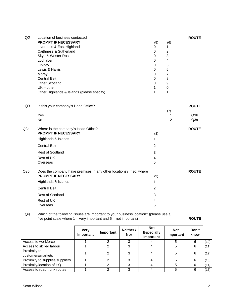| Q2             | Location of business contacted                                      |                |                     | <b>ROUTE</b>     |
|----------------|---------------------------------------------------------------------|----------------|---------------------|------------------|
|                | <b>PROMPT IF NECESSARY</b>                                          | (5)            | (6)                 |                  |
|                | Inverness & East Highland                                           | 0              | 1                   |                  |
|                | Caithness & Sutherland                                              | $\pmb{0}$      | $\overline{c}$      |                  |
|                | Skye & Wester Ross                                                  | 0              | 3                   |                  |
|                | Lochaber                                                            | 0              | 4                   |                  |
|                | Orkney                                                              | 0              | 5                   |                  |
|                | Lewis & Harris                                                      | 0              | 6                   |                  |
|                | Moray                                                               | 0              | $\overline{7}$      |                  |
|                | <b>Central Belt</b>                                                 | 0              | 8                   |                  |
|                | <b>Other Scotland</b>                                               | 0              | 9                   |                  |
|                | $UK - other$                                                        | 1              | 0                   |                  |
|                | Other Highlands & Islands (please specify)                          | 1              | 1                   |                  |
|                |                                                                     |                |                     |                  |
| Q <sub>3</sub> | Is this your company's Head Office?                                 |                |                     | <b>ROUTE</b>     |
|                | Yes                                                                 |                | (7)                 | Q <sub>3</sub> b |
|                | No                                                                  |                | 1<br>$\overline{2}$ | Q3a              |
|                |                                                                     |                |                     |                  |
| Q3a            | Where is the company's Head Office?                                 |                |                     | <b>ROUTE</b>     |
|                | <b>PROMPT IF NECESSARY</b>                                          | (8)            |                     |                  |
|                | Highlands & Islands                                                 | 1              |                     |                  |
|                | <b>Central Belt</b>                                                 | $\overline{2}$ |                     |                  |
|                | Rest of Scotland                                                    | 3              |                     |                  |
|                | Rest of UK                                                          | 4              |                     |                  |
|                | Overseas                                                            | 5              |                     |                  |
| Q3b            | Does the company have premises in any other locations? If so, where |                |                     | <b>ROUTE</b>     |
|                | <b>PROMPT IF NECESSARY</b>                                          | (9)            |                     |                  |
|                | Highlands & Islands                                                 | 1              |                     |                  |
|                |                                                                     |                |                     |                  |
|                | <b>Central Belt</b>                                                 | $\overline{2}$ |                     |                  |
|                | Rest of Scotland                                                    | 3              |                     |                  |
|                | Rest of UK                                                          | 4              |                     |                  |
|                | Overseas                                                            | 5              |                     |                  |
|                |                                                                     |                |                     |                  |

#### Q4 Which of the following issues are important to your business location? (please use a five point scale where 1 = very important and 5 = not important) **ROUTE**

|                                 | <b>Very</b><br>Important | Important | Neither /<br><b>Nor</b> | <b>Not</b><br><b>Especially</b><br>Important | <b>Not</b><br>Important | Don't<br>know |      |
|---------------------------------|--------------------------|-----------|-------------------------|----------------------------------------------|-------------------------|---------------|------|
| Access to workforce             |                          |           | ◠                       |                                              | 5                       | 6             | (10) |
| Access to skilled labour        |                          |           | 3                       |                                              | 5                       | 6             | (11) |
| Proximity to                    |                          |           | 3                       |                                              | 5                       | 6             | (12) |
| customers/markets               |                          |           |                         |                                              |                         |               |      |
| Proximity to supplies/suppliers |                          | ⌒         | 3                       |                                              | 5                       | 6             | (13) |
| Proximity/location of HQ        |                          |           | 3                       |                                              | 5                       | 6             | (14) |
| Access to road trunk routes     |                          |           |                         |                                              |                         | 6             | (15) |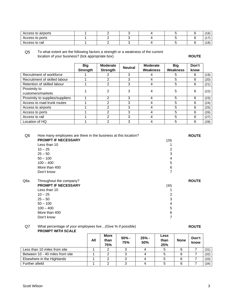| Access to airports |  |  |  | (4C)<br>∶ ب ا |
|--------------------|--|--|--|---------------|
| Access to ports    |  |  |  |               |
| Access to rail     |  |  |  | 101<br>10     |

Q5 To what extent are the following factors a strength or a weakness of the current location of your business? (tick appropriate box) **ROUTE** 

|                                 | <b>Big</b><br><b>Strength</b> | <b>Moderate</b><br><b>Strength</b> | <b>Neutral</b> | <b>Moderate</b><br>Weakness | <b>Big</b><br><b>Weakness</b> | Don't<br>know |      |
|---------------------------------|-------------------------------|------------------------------------|----------------|-----------------------------|-------------------------------|---------------|------|
| Recruitment of workforce        |                               |                                    | 3              |                             | 5                             | 6             | (19) |
| Recruitment of skilled labour   |                               | 2                                  | 3              |                             | 5                             | 6             | (20) |
| Retention of skilled labour     |                               | 2                                  | 3              |                             | 5                             | 6             | (21) |
| Proximity to                    |                               | 2                                  |                |                             | 5                             | 6             | (22) |
| customers/markets               |                               |                                    |                |                             |                               |               |      |
| Proximity to supplies/suppliers |                               | 2                                  | 3              |                             | 5                             | 6             | (23) |
| Access to road trunk routes     |                               | 2                                  | 3              |                             | 5                             | 6             | (24) |
| Access to airports              |                               | 2                                  | 3              |                             | 5                             | 6             | (25) |
| Access to ports                 |                               | 2                                  | 3              |                             | 5                             | 6             | (26) |
| Access to rail                  |                               | ົ                                  | 3              |                             | 5                             | 6             | (27) |
| Location of HQ                  |                               | າ                                  | 3              |                             | 5                             | 6             | (28) |

| Q6               | How many employees are there in the business at this location? |      | <b>ROUTE</b> |
|------------------|----------------------------------------------------------------|------|--------------|
|                  | <b>PROMPT IF NECESSARY</b>                                     | (29) |              |
|                  | Less than 10                                                   |      |              |
|                  | $10 - 25$                                                      | 2    |              |
|                  | $25 - 50$                                                      | 3    |              |
|                  | $50 - 100$                                                     | 4    |              |
|                  | $100 - 400$                                                    | 5    |              |
|                  | More than 400                                                  | 6    |              |
|                  | Don't know                                                     | 7    |              |
| Q <sub>6</sub> a | Throughout the company?                                        |      | <b>ROUTE</b> |
|                  | <b>PROMPT IF NECESSARY</b>                                     | (30) |              |
|                  | Less than 10                                                   |      |              |
|                  |                                                                |      |              |
|                  | $10 - 25$                                                      | 2    |              |
|                  | $25 - 50$                                                      | 3    |              |
|                  | $50 - 100$                                                     | 4    |              |
|                  | $100 - 400$                                                    | 5    |              |
|                  | More than 400                                                  | 6    |              |

#### Q7 What percentage of your employees live...(Give % if possible) **ROUTE PROMPT WITH SCALE**

|                                 | All | <b>More</b><br>than<br>75% | $50% -$<br>75% | $25% -$<br>50% | Less<br>than<br>25% | <b>None</b> | Don't<br>know |      |
|---------------------------------|-----|----------------------------|----------------|----------------|---------------------|-------------|---------------|------|
| Less than 10 miles from site    |     |                            |                |                |                     |             |               | (31) |
| Between 10 - 40 miles from site |     |                            |                |                |                     | 6           |               | (32) |
| Elsewhere in the Highlands      |     |                            |                |                |                     | 6           |               | (33) |
| Further afield                  |     |                            |                |                |                     | 6           |               | (34) |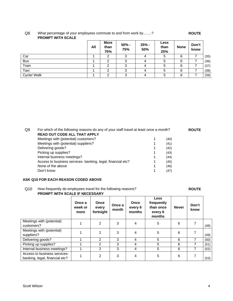#### Q8 What percentage of your employees commute to and from work by.......? **ROUTE PROMPT WITH SCALE**

|             | All | <b>More</b><br>than<br>75% | 50% -<br>75% | 25% -<br>50% | Less<br>than<br>25% | <b>None</b> | Don't<br>know |      |
|-------------|-----|----------------------------|--------------|--------------|---------------------|-------------|---------------|------|
| Car         |     | 2                          | ົ            | 4            | 5                   | 6           |               | (35) |
| <b>Bus</b>  |     | 2                          | ົ<br>د       | 4            | 5                   | 6           |               | (36) |
| Train       |     | ◠                          | ົ            | 4            | 5                   | 6           |               | (37) |
| Taxi        |     | 2                          | ົ            | 4            | 5                   | 6           |               | (38) |
| Cycle/ Walk |     | ◠                          | ົ            | 4            |                     | 6           |               | (39) |

| Q9 | For which of the following reasons do any of your staff travel at least once a month? |      | <b>ROUTE</b> |
|----|---------------------------------------------------------------------------------------|------|--------------|
|    | <b>READ OUT CODE ALL THAT APPLY</b>                                                   |      |              |
|    | Meetings with (potential) customers?                                                  | (40) |              |
|    | Meetings with (potential) suppliers?                                                  | (41) |              |
|    | Delivering goods?                                                                     | (42) |              |
|    | Picking up supplies?                                                                  | (43) |              |
|    | Internal business meetings?                                                           | (44) |              |
|    | Access to business services- banking, legal, financial etc?                           | (45) |              |
|    | None of the above                                                                     | (46) |              |
|    | Don't know                                                                            | (47) |              |

#### **ASK Q10 FOR EACH REASON CODED ABOVE**

#### Q10 How frequently do employees travel for the following reasons? **ROUTE**

#### **PROMPT WITH SCALE IF NECESSARY**

|                                                                | Once a<br>week or<br>more | Once<br>every<br>fortnight | Once a<br>month | Once<br>every 6<br>months | <b>Less</b><br>frequently<br>than once<br>every 6<br>months | <b>Never</b> | Don't<br>know |      |
|----------------------------------------------------------------|---------------------------|----------------------------|-----------------|---------------------------|-------------------------------------------------------------|--------------|---------------|------|
| Meetings with (potential)<br>customers?                        |                           | 2                          | 3               | 4                         | 5                                                           | 6            | 7             | (48) |
| Meetings with (potential)<br>suppliers?                        |                           | 2                          | 3               | 4                         | 5                                                           | 6            |               | (49) |
| Delivering goods?                                              |                           | 2                          | 3               | 4                         | 5                                                           | 6            | 7             | (50) |
| Picking up supplies?                                           |                           | 2                          | 3               | 4                         | 5                                                           | 6            | 7             | (51) |
| Internal business meetings?                                    |                           | 2                          | 3               | 4                         | 5                                                           | 6            | 7             | (52) |
| Access to business services-<br>banking, legal, financial etc? |                           | 2                          | 3               | 4                         | 5                                                           | 6            |               | (53) |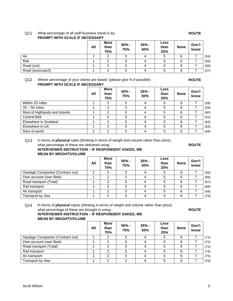# Q11 What percentage of all staff business travel is by: **ROUTE**

|                  | All | <b>More</b><br>than<br>75% | 50% -<br>75% | 25% -<br>50% | <b>Less</b><br>than<br>25% | <b>None</b> | Don't<br>know |      |
|------------------|-----|----------------------------|--------------|--------------|----------------------------|-------------|---------------|------|
| Air              |     | 2                          |              | 4            | 5                          | 6           |               | (54) |
| Rail             |     | ົ                          | ົ            | 4            | b                          | 6           |               | (55) |
| Road (car)       |     | 2                          | ົ            | 4            | 5                          | 6           |               | (56) |
| Road (bus/coach) |     | ◠                          | ົ            | 4            | 5                          | 6           |               | (57) |

#### **PROMPT WITH SCALE IF NECESSARY**

Q12 Where percentage of your clients are based: (please give % if possible) **ROUTE PROMPT WITH SCALE IF NECESSARY**

|                               | All | <b>More</b><br>than<br>75% | $50% -$<br>75% | 25% -<br>50% | <b>Less</b><br>than<br>25% | <b>None</b> | Don't<br>know |      |
|-------------------------------|-----|----------------------------|----------------|--------------|----------------------------|-------------|---------------|------|
| Within 20 miles               |     |                            | د              |              | 5                          | 6           |               | (58) |
| $20 - 50$ miles               |     | 2                          | 3              | 4            | 5                          | 6           |               | (59) |
| Rest of Highlands and Islands |     | 2                          | 3              | 4            | 5                          | 6           |               | (60) |
| <b>Central Belt</b>           |     | 2                          | 3              | 4            | 5                          | 6           |               | (61) |
| Elsewhere in Scotland         |     | 2                          | 3              | 4            | 5                          | 6           |               | (62) |
| Elsewhere in UK               |     | 2                          | 3              | 4            | 5                          | 6           |               | (63) |
| Rest of world                 |     | 2                          | 3              |              | 5                          | 6           |               | (64) |

Q13 In terms of *physical* sales (thinking in terms of weight and volume rather than price), what percentage of these are delivered using: **ROUTE ROUTE** 

#### **INTERVIEWER INSTRUCTION – IF RESPONDENT ASKED, WE MEAN BY WEIGHT/VOLUME**

|                                  | All | <b>More</b><br>than<br>75% | $50% -$<br>75% | $25% -$<br>50% | <b>Less</b><br>than<br>25% | <b>None</b> | Don't<br>know |      |
|----------------------------------|-----|----------------------------|----------------|----------------|----------------------------|-------------|---------------|------|
| Haulage Companies (Contract out) |     | 2                          | ≘              | 4              | 5                          | 6           |               | (65) |
| Own account (own fleet)          |     | 2                          | ົ              |                | 5                          | 6           |               | (66) |
| Road transport (Total)           |     | 2                          | ≘              |                | 5                          | 6           |               | (67) |
| Rail transport                   |     | 2                          | 3              | 4              | 5                          | 6           |               | (68) |
| Air transport                    |     | າ                          | ◠              | 4              | 5                          | 6           |               | (69) |
| Transport by Sea                 |     | っ                          |                | 4              | 5                          | 6           |               | (70) |

Q14 In terms of *physical* inputs (thinking in terms of weight and volume rather than price), what percentage of these are brought in using: **ROUTE ROUTE** 

#### **INTERVIEWER INSTRUCTION – IF RESPONDENT ASKED, WE MEAN BY WEIGHT/VOLUME**

|                                  | All | <b>More</b><br>than<br>75% | $50% -$<br>75% | $25% -$<br>50% | <b>Less</b><br>than<br>25% | <b>None</b> | Don't<br>know |      |
|----------------------------------|-----|----------------------------|----------------|----------------|----------------------------|-------------|---------------|------|
| Haulage Companies (Contract out) |     | 2                          |                |                | 5                          | 6           |               | (71) |
| Own account (own fleet)          |     | ◠                          |                |                | 5                          | 6           |               | (72) |
| Road transport (Total)           |     |                            |                |                |                            | 6           |               | (73) |
| Rail transport                   |     | ⌒                          |                |                | 5                          | 6           |               | (74) |
| Air transport                    |     | ◠                          |                |                | 5                          | 6           |               | (75) |
| <b>Transport by Sea</b>          |     |                            |                |                |                            |             |               | (76) |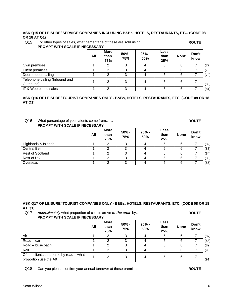# Scott Wilson 6

#### **ASK Q15 OF LEISURE/ SERVICE COMPANIES INCLUDING B&Bs, HOTELS, RESTAURANTS, ETC. (CODE 08 OR 18 AT Q1)**

Q15 For other types of sales, what percentage of these are sold using: **ROUTE PROMPT WITH SCALE IF NECESSARY**

|                                             | All | <b>More</b><br>than<br>75% | $50% -$<br>75% | $25% -$<br>50% | <b>Less</b><br>than<br>25% | <b>None</b> | Don't<br>know |      |
|---------------------------------------------|-----|----------------------------|----------------|----------------|----------------------------|-------------|---------------|------|
| Own premises                                |     | 2                          | ◠              | 4              | 5                          | 6           |               | (77) |
| Client premises                             |     | っ                          | ົ              | 4              | 5                          | 6           |               | (78) |
| Door to door calling                        |     | 2                          | ິ<br>J         | 4              | 5                          | 6           |               | (79) |
| Telephone calling (Inbound and<br>Outbound) |     | 2                          | 3              | 4              | 5                          | 6           |               | (80) |
| IT & Web based sales                        |     | っ                          |                |                | 5                          | 6           |               | (81) |

#### **ASK Q16 OF LEISURE/ TOURIST COMPANIES ONLY - B&Bs, HOTELS, RESTAURANTS, ETC. (CODE 08 OR 18 AT Q1)**

#### Q16 What percentage of your clients come from…… **ROUTE PROMPT WITH SCALE IF NECESSARY**

|                     | All | <b>More</b><br>than<br>75% | $50% -$<br>75% | $25% -$<br>50% | <b>Less</b><br>than<br>25% | <b>None</b> | Don't<br>know |      |
|---------------------|-----|----------------------------|----------------|----------------|----------------------------|-------------|---------------|------|
| Highlands & Islands |     |                            |                |                | 5                          | 6           |               | (82) |
| <b>Central Belt</b> |     |                            |                |                |                            | 6           |               | (83) |
| Rest of Scotland    |     |                            |                |                |                            | 6           |               | (84) |
| Rest of UK          |     | ◠                          | ົ              |                | 5                          | 6           |               | (85) |
| Overseas            |     |                            |                |                |                            | 6           |               | (86) |

#### **ASK Q17 OF LEISURE/ TOURIST COMPANIES ONLY - B&Bs, HOTELS, RESTAURANTS, ETC. (CODE 08 OR 18 AT Q1)**

Q17 *Approximately* what proportion of clients arrive *to the area* by..... **ROUTE PROMPT WITH SCALE IF NECESSARY**

|                                                                  | All | <b>More</b><br>than<br>75% | $50% -$<br>75% | $25% -$<br>50% | Less<br>than<br>25% | <b>None</b> | Don't<br>know |      |
|------------------------------------------------------------------|-----|----------------------------|----------------|----------------|---------------------|-------------|---------------|------|
| Air                                                              |     | ົ                          |                |                | 5                   | 6           |               | (87) |
| Road – car                                                       |     | 2                          |                | 4              | 5                   | 6           |               | (88) |
| Road - bus/coach                                                 |     |                            |                |                | 5                   | 6           |               | (89) |
| Rail                                                             |     | ົ                          | 3              | 4              | 5                   | 6           |               | (90) |
| Of the clients that come by road – what<br>proportion use the A9 |     | 2                          | 3              | 4              | 5                   | 6           |               | (91) |

Q18 Can you please confirm your annual turnover at these premises: **ROUTE**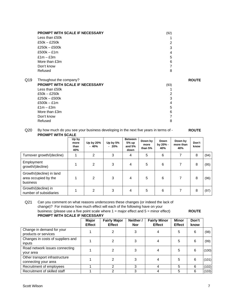|     | <b>PROMPT WITH SCALE IF NECESSARY</b>                     | (92) |              |
|-----|-----------------------------------------------------------|------|--------------|
|     | Less than £50k                                            |      |              |
|     | $£50k - £250k$                                            | 2    |              |
|     | £250k - £500k                                             | 3    |              |
|     | $£500k - £1m$                                             | 4    |              |
|     | $£1m - £3m$                                               | 5    |              |
|     | More than £3m                                             | 6    |              |
|     | Don't know                                                |      |              |
|     | Refused                                                   | 8    |              |
|     |                                                           |      |              |
| Q19 |                                                           |      | <b>ROUTE</b> |
|     | Throughout the company?<br>PROMPT WITH SCALE IF NECESSARY |      |              |
|     | Less than £50k                                            | (93) |              |
|     | $£50k - £250k$                                            | 2    |              |
|     | $£250k - £500k$                                           | 3    |              |
|     | $£500k - £1m$                                             | 4    |              |
|     | $£1m - £3m$                                               | 5    |              |
|     | More than £3m                                             | 6    |              |
|     | Don't know                                                |      |              |

Q20 By how much do you see your business developing in the next five years in terms of - **ROUTE PROMPT WITH SCALE** 

|                                                              | Up by<br>more<br>than<br>40% | Up by 20%<br>- 40% | Up by 5%<br>$-20%$ | <b>Between</b><br>5% up<br>and $5%$<br>down | Down by<br>more<br>than 5% | Down<br>by 20% -<br>40% | Down by<br>more than<br>40% | Don't<br>know |      |
|--------------------------------------------------------------|------------------------------|--------------------|--------------------|---------------------------------------------|----------------------------|-------------------------|-----------------------------|---------------|------|
| Turnover growth/(decline)                                    |                              | $\overline{2}$     | 3                  | 4                                           | 5                          | 6                       | 7                           | 8             | (94) |
| Employment<br>growth/(decline)                               |                              | $\overline{2}$     | 3                  | 4                                           | 5                          | 6                       |                             | 8             | (95) |
| Growth/(decline) in land<br>area occupied by the<br>business |                              | 2                  | 3                  | 4                                           | 5                          | 6                       |                             | 8             | (96) |
| Growth/(decline) in<br>number of subsidiaries                |                              | $\overline{2}$     | 3                  | 4                                           | 5                          | 6                       |                             | 8             | (97) |

| Q <sub>21</sub> | Can you comment on what reasons underscores these changes (or indeed the lack of          |              |
|-----------------|-------------------------------------------------------------------------------------------|--------------|
|                 | change)? For instance how much effect will each of the following have on your             |              |
|                 | business: (please use a five point scale where $1 =$ major effect and $5 =$ minor effect) | <b>ROUTE</b> |
|                 | PROMPT WITH SCALE IF NECESSARY                                                            |              |

|                                                        | <b>Major</b><br><b>Effect</b> | <b>Fairly Major</b><br><b>Effect</b> | Neither /<br><b>Nor</b> | <b>Fairly Minor</b><br><b>Effect</b> | <b>Minor</b><br><b>Effect</b> | Don't<br>know |       |
|--------------------------------------------------------|-------------------------------|--------------------------------------|-------------------------|--------------------------------------|-------------------------------|---------------|-------|
| Change in demand for your<br>products or services      |                               | 2                                    | 3                       | 4                                    | 5                             | 6             | (98)  |
| Changes in costs of suppliers and<br>inputs            |                               | 2                                    |                         |                                      | 5                             | 6             | (99)  |
| Road network issues connecting<br>your area            |                               | 2                                    |                         |                                      | 5                             | 6             | (100) |
| Other transport infrastructure<br>connecting your area |                               | 2                                    |                         |                                      | 5                             | 6             | (101) |
| Recruitment of employees                               |                               | 2                                    | 3                       | 4                                    | 5                             | 6             | (102) |
| Recruitment of skilled staff                           |                               | 2                                    | 3                       |                                      | 5                             | 6             | (103) |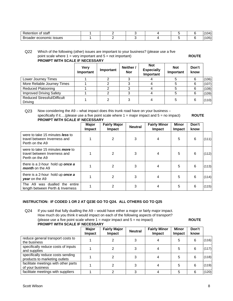| . .<br>$\sim$<br>υı<br>emion<br><b>১</b> ાતા<br>- - - - - |  |  |  |        |
|-----------------------------------------------------------|--|--|--|--------|
| <b>issues</b><br>nıc<br>~<br>10 I H<br>. ורי<br>≂         |  |  |  | $\sim$ |

#### Q22 Which of the following (other) issues are important to your business? (please use a five point scale where 1 = very important and 5 = not important) **ROUTE PROMPT WITH SCALE IF NECESSARY**

|                                               | <b>Very</b><br>Important | Important | Neither /<br><b>Nor</b> | <b>Not</b><br><b>Especially</b><br>Important | <b>Not</b><br>Important | Don't<br>know |       |
|-----------------------------------------------|--------------------------|-----------|-------------------------|----------------------------------------------|-------------------------|---------------|-------|
| Lower Journey Times                           |                          |           | ົ                       |                                              |                         | 6             | (106) |
| More Reliable Journey Times                   |                          |           |                         |                                              |                         | 6             | (107) |
| <b>Reduced Platooning</b>                     |                          |           | 3                       |                                              |                         | 6             | (108) |
| <b>Improved Driving Safety</b>                |                          |           | ົ                       |                                              |                         | 6             | (109) |
| <b>Reduced Stressful/Difficult</b><br>Driving |                          |           | 3                       |                                              | 5                       | 6             | (110) |

Q23 Now considering the A9 – what impact does this trunk road have on your business – specifically if it....(please use a five point scale where 1 = major impact and 5 = no impact) **ROUTE PROMPT WITH SCALE IF NECESSARY**

|                                                                                           | Major<br>Impact | <b>Fairly Major</b><br><b>Impact</b> | <b>Neutral</b> | <b>Fairly Minor</b><br><b>Impact</b> | Minor<br>Impact | Don't<br>know |       |
|-------------------------------------------------------------------------------------------|-----------------|--------------------------------------|----------------|--------------------------------------|-----------------|---------------|-------|
| were to take 15 minutes <b>less</b> to<br>travel between Inverness and<br>Perth on the A9 |                 | 2                                    | 3              | 4                                    | 5               | 6             | (111) |
| were to take 15 minutes <i>more</i> to<br>travel between Inverness and<br>Perth on the A9 |                 | 2                                    | 3              | 4                                    | 5               | 6             | (112) |
| there is a 2-hour hold up once a<br>month on the A9                                       |                 | 2                                    | 3              | 4                                    | 5               | 6             | (113) |
| there is a 2-hour hold up <b>once a</b><br><b>year</b> on the A9                          |                 | 2                                    | 3              |                                      | 5               | 6             | (114) |
| The A9 was dualled the entire<br>length between Perth & Inverness                         |                 | 2                                    | 3              |                                      | 5               | 6             | (115) |

#### **INSTRUCTION: IF CODED 1 OR 2 AT Q23E GO TO Q24. ALL OTHERS GO TO Q25**

Q24 If you said that fully dualling the A9 – would have either a major or fairly major impact. How much do you think it would impact on each of the following aspects of transport? (please use a five point scale where 1 = major impact and 5 = no impact) **ROUTE PROMPT WITH SCALE IF NECESSARY**

|                                                                    | Major<br>Impact | <b>Fairly Major</b><br><b>Impact</b> | <b>Neutral</b> | <b>Fairly Minor</b><br><b>Impact</b> | <b>Minor</b><br><b>Impact</b> | Don't<br>know |       |
|--------------------------------------------------------------------|-----------------|--------------------------------------|----------------|--------------------------------------|-------------------------------|---------------|-------|
| reduce general transport costs to<br>the business                  |                 |                                      |                |                                      | 5                             | 6             | (116) |
| specifically reduce costs of inputs<br>and supplies                |                 |                                      |                |                                      | 5                             | 6             | (117) |
| specifically reduce costs sending<br>products to marketing outlets |                 |                                      |                |                                      | 5                             | 6             | (118) |
| facilitate meetings with other parts<br>of your business           |                 |                                      |                |                                      | 5                             | 6             | (119) |
| facilitate meetings with suppliers                                 |                 | ⌒                                    |                |                                      | 5                             | 6             | (120) |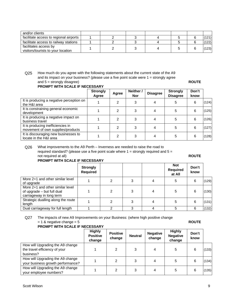| and/or clients                                              |  |  |  |       |
|-------------------------------------------------------------|--|--|--|-------|
| facilitate access to regional airports                      |  |  |  | 121)  |
| facilitate access to railway stations                       |  |  |  | 122)  |
| facilitates access by<br>visitors/tourists to your location |  |  |  | (123) |

Q25 How much do you agree with the following statements about the current state of the A9 and its impact on your business? (please use a five point scale were 1 = strongly agree and 5 = strongly disagree) **ROUTE** 

|  | PROMPT WITH SCALE IF NECESSARY |
|--|--------------------------------|

|                                                                        | <b>Strongly</b><br>Agree | Agree | Neither /<br><b>Nor</b> | <b>Disagree</b> | <b>Strongly</b><br><b>Disagree</b> | Don't<br>know |       |
|------------------------------------------------------------------------|--------------------------|-------|-------------------------|-----------------|------------------------------------|---------------|-------|
| It is producing a negative perception on<br>the H&I area               |                          | 2     | 3                       | 4               | 5                                  | 6             | (124) |
| It is constraining general economic<br>development                     |                          | 2     |                         |                 | 5                                  | 6             | (125) |
| It is producing a negative impact on<br>business travel                |                          | 2     | 3                       | 4               | 5                                  | 6             | (126) |
| It is producing inefficiencies in<br>movement of own supplies/products |                          | 2     | 3                       | 4               | 5                                  | 6             | (127) |
| It is discouraging new businesses to<br>locate in the H&I area         |                          | 2     | 3                       | 4               | 5                                  | 6             | (128) |

Q26 What improvements to the A9 Perth – Inverness are needed to raise the road to required standard? (please use a five point scale where  $1 =$  strongly required and  $5 =$ 

not required at all) **ROUTE** 

### **PROMPT WITH SCALE IF NECESSARY**

|                                                                                            | <b>Strongly</b><br><b>Required</b> |   |   |   | <b>Not</b><br><b>Required</b><br>at All | Don't<br>know |       |
|--------------------------------------------------------------------------------------------|------------------------------------|---|---|---|-----------------------------------------|---------------|-------|
| More 2+1 and other similar level<br>of upgrade                                             |                                    |   | 3 |   | 5                                       | 6             | (129) |
| More 2+1 and other similar level<br>of upgrade - but full dual<br>carriageway in long term |                                    | 2 | 3 | 4 | 5                                       | 6             | (130) |
| Strategic dualling along the route<br>length                                               |                                    | 2 | 3 | 4 | 5                                       | 6             | (131) |
| Dual carriageway for full length                                                           |                                    | ⌒ | 3 | 4 | 5                                       | 6             | (132) |

Q27 The impacts of new A9 Improvements on your Business: (where high positive change = 1 & negative change = 5 **ROUTE** 

### **PROMPT WITH SCALE IF NECESSARY**

|                                                                                | <b>Highly</b><br><b>Positive</b><br>change | <b>Positive</b><br>change | <b>Neutral</b> | <b>Negative</b><br>change | <b>Highly</b><br><b>Negative</b><br>change | Don't<br>know |       |
|--------------------------------------------------------------------------------|--------------------------------------------|---------------------------|----------------|---------------------------|--------------------------------------------|---------------|-------|
| How will Upgrading the A9 change<br>the travel efficiency of your<br>business? |                                            | $\mathfrak{D}$            | 3              | 4                         | 5                                          | 6             | (133) |
| How will Upgrading the A9 change<br>your business growth performance?          |                                            | っ                         | 3              | 4                         | 5                                          | 6             | (134) |
| How will Upgrading the A9 change<br>your employee numbers?                     |                                            | 2                         | 3              | 4                         | 5                                          | 6             | (135) |